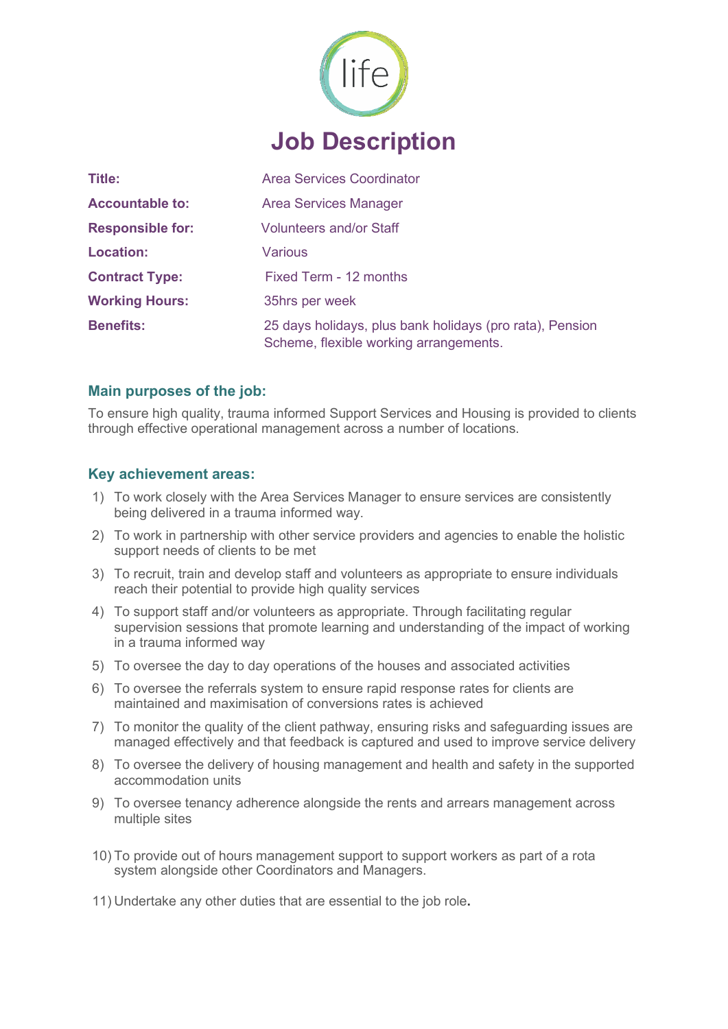

| <b>Title:</b>           | Area Services Coordinator                                                                          |
|-------------------------|----------------------------------------------------------------------------------------------------|
| <b>Accountable to:</b>  | <b>Area Services Manager</b>                                                                       |
| <b>Responsible for:</b> | <b>Volunteers and/or Staff</b>                                                                     |
| <b>Location:</b>        | <b>Various</b>                                                                                     |
| <b>Contract Type:</b>   | Fixed Term - 12 months                                                                             |
| <b>Working Hours:</b>   | 35hrs per week                                                                                     |
| <b>Benefits:</b>        | 25 days holidays, plus bank holidays (pro rata), Pension<br>Scheme, flexible working arrangements. |

## **Main purposes of the job:**

To ensure high quality, trauma informed Support Services and Housing is provided to clients through effective operational management across a number of locations.

## **Key achievement areas:**

- 1) To work closely with the Area Services Manager to ensure services are consistently being delivered in a trauma informed way.
- 2) To work in partnership with other service providers and agencies to enable the holistic support needs of clients to be met
- 3) To recruit, train and develop staff and volunteers as appropriate to ensure individuals reach their potential to provide high quality services
- 4) To support staff and/or volunteers as appropriate. Through facilitating regular supervision sessions that promote learning and understanding of the impact of working in a trauma informed way
- 5) To oversee the day to day operations of the houses and associated activities
- 6) To oversee the referrals system to ensure rapid response rates for clients are maintained and maximisation of conversions rates is achieved
- 7) To monitor the quality of the client pathway, ensuring risks and safeguarding issues are managed effectively and that feedback is captured and used to improve service delivery
- 8) To oversee the delivery of housing management and health and safety in the supported accommodation units
- 9) To oversee tenancy adherence alongside the rents and arrears management across multiple sites
- 10) To provide out of hours management support to support workers as part of a rota system alongside other Coordinators and Managers.
- 11) Undertake any other duties that are essential to the job role**.**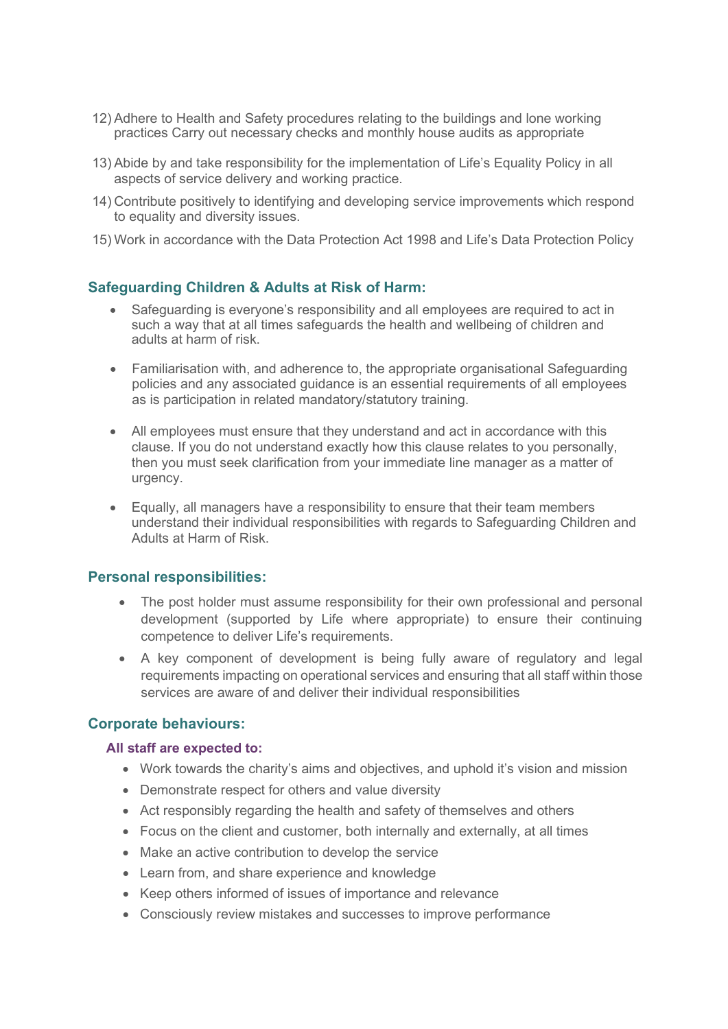- 12) Adhere to Health and Safety procedures relating to the buildings and lone working practices Carry out necessary checks and monthly house audits as appropriate
- 13) Abide by and take responsibility for the implementation of Life's Equality Policy in all aspects of service delivery and working practice.
- 14) Contribute positively to identifying and developing service improvements which respond to equality and diversity issues.
- 15) Work in accordance with the Data Protection Act 1998 and Life's Data Protection Policy

## **Safeguarding Children & Adults at Risk of Harm:**

- Safeguarding is everyone's responsibility and all employees are required to act in such a way that at all times safeguards the health and wellbeing of children and adults at harm of risk.
- Familiarisation with, and adherence to, the appropriate organisational Safeguarding policies and any associated guidance is an essential requirements of all employees as is participation in related mandatory/statutory training.
- All employees must ensure that they understand and act in accordance with this clause. If you do not understand exactly how this clause relates to you personally, then you must seek clarification from your immediate line manager as a matter of urgency.
- Equally, all managers have a responsibility to ensure that their team members understand their individual responsibilities with regards to Safeguarding Children and Adults at Harm of Risk.

#### **Personal responsibilities:**

- The post holder must assume responsibility for their own professional and personal development (supported by Life where appropriate) to ensure their continuing competence to deliver Life's requirements.
- A key component of development is being fully aware of regulatory and legal requirements impacting on operational services and ensuring that all staff within those services are aware of and deliver their individual responsibilities

### **Corporate behaviours:**

#### **All staff are expected to:**

- Work towards the charity's aims and objectives, and uphold it's vision and mission
- Demonstrate respect for others and value diversity
- Act responsibly regarding the health and safety of themselves and others
- Focus on the client and customer, both internally and externally, at all times
- Make an active contribution to develop the service
- Learn from, and share experience and knowledge
- Keep others informed of issues of importance and relevance
- Consciously review mistakes and successes to improve performance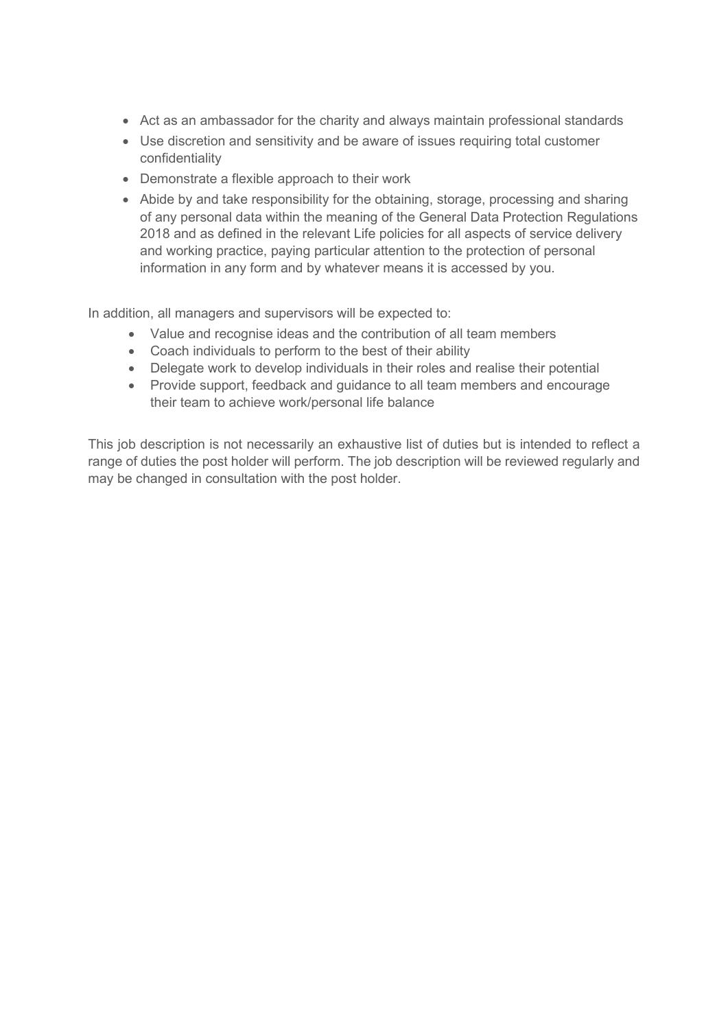- Act as an ambassador for the charity and always maintain professional standards
- Use discretion and sensitivity and be aware of issues requiring total customer confidentiality
- Demonstrate a flexible approach to their work
- Abide by and take responsibility for the obtaining, storage, processing and sharing of any personal data within the meaning of the General Data Protection Regulations 2018 and as defined in the relevant Life policies for all aspects of service delivery and working practice, paying particular attention to the protection of personal information in any form and by whatever means it is accessed by you.

In addition, all managers and supervisors will be expected to:

- Value and recognise ideas and the contribution of all team members
- Coach individuals to perform to the best of their ability
- Delegate work to develop individuals in their roles and realise their potential
- Provide support, feedback and guidance to all team members and encourage their team to achieve work/personal life balance

This job description is not necessarily an exhaustive list of duties but is intended to reflect a range of duties the post holder will perform. The job description will be reviewed regularly and may be changed in consultation with the post holder.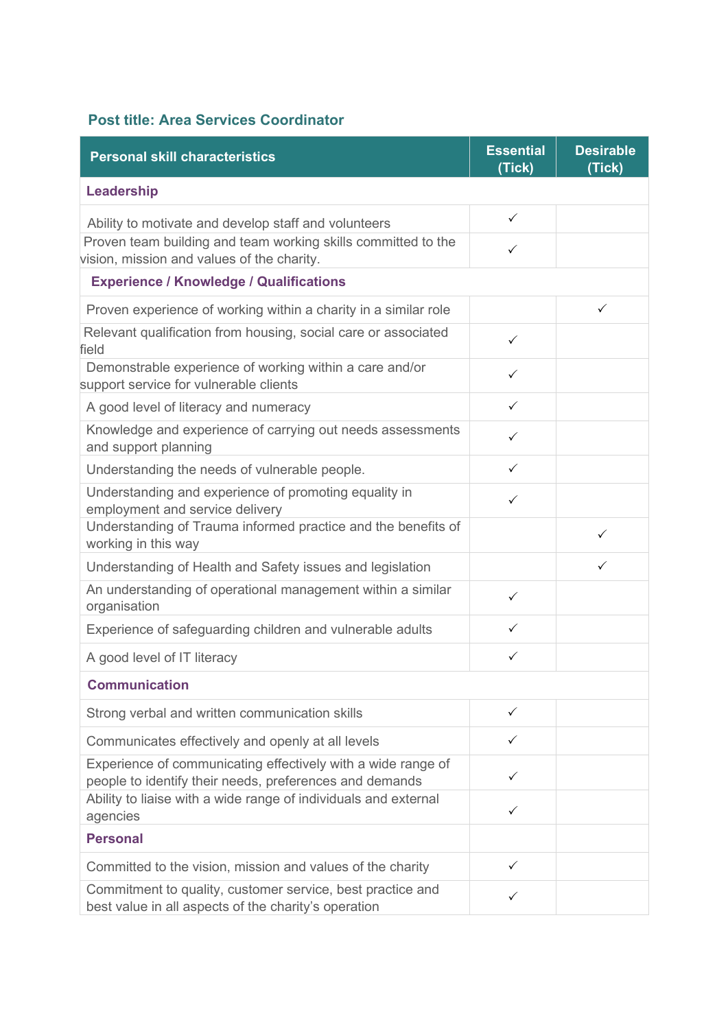# **Post title: Area Services Coordinator**

| <b>Personal skill characteristics</b>                                                                                   | <b>Essential</b><br>(Tick) | <b>Desirable</b><br>(Tick) |
|-------------------------------------------------------------------------------------------------------------------------|----------------------------|----------------------------|
| Leadership                                                                                                              |                            |                            |
| Ability to motivate and develop staff and volunteers                                                                    | $\checkmark$               |                            |
| Proven team building and team working skills committed to the<br>vision, mission and values of the charity.             | ✓                          |                            |
| <b>Experience / Knowledge / Qualifications</b>                                                                          |                            |                            |
| Proven experience of working within a charity in a similar role                                                         |                            | $\checkmark$               |
| Relevant qualification from housing, social care or associated<br>field                                                 | $\checkmark$               |                            |
| Demonstrable experience of working within a care and/or<br>support service for vulnerable clients                       | $\checkmark$               |                            |
| A good level of literacy and numeracy                                                                                   | $\checkmark$               |                            |
| Knowledge and experience of carrying out needs assessments<br>and support planning                                      | $\checkmark$               |                            |
| Understanding the needs of vulnerable people.                                                                           | $\checkmark$               |                            |
| Understanding and experience of promoting equality in<br>employment and service delivery                                | ✓                          |                            |
| Understanding of Trauma informed practice and the benefits of<br>working in this way                                    |                            | ✓                          |
| Understanding of Health and Safety issues and legislation                                                               |                            | $\checkmark$               |
| An understanding of operational management within a similar<br>organisation                                             | $\checkmark$               |                            |
| Experience of safeguarding children and vulnerable adults                                                               | ✓                          |                            |
| A good level of IT literacy                                                                                             | ✓                          |                            |
| <b>Communication</b>                                                                                                    |                            |                            |
| Strong verbal and written communication skills                                                                          | ✓                          |                            |
| Communicates effectively and openly at all levels                                                                       | ✓                          |                            |
| Experience of communicating effectively with a wide range of<br>people to identify their needs, preferences and demands | ✓                          |                            |
| Ability to liaise with a wide range of individuals and external<br>agencies                                             | $\checkmark$               |                            |
| <b>Personal</b>                                                                                                         |                            |                            |
| Committed to the vision, mission and values of the charity                                                              | ✓                          |                            |
| Commitment to quality, customer service, best practice and<br>best value in all aspects of the charity's operation      | ✓                          |                            |